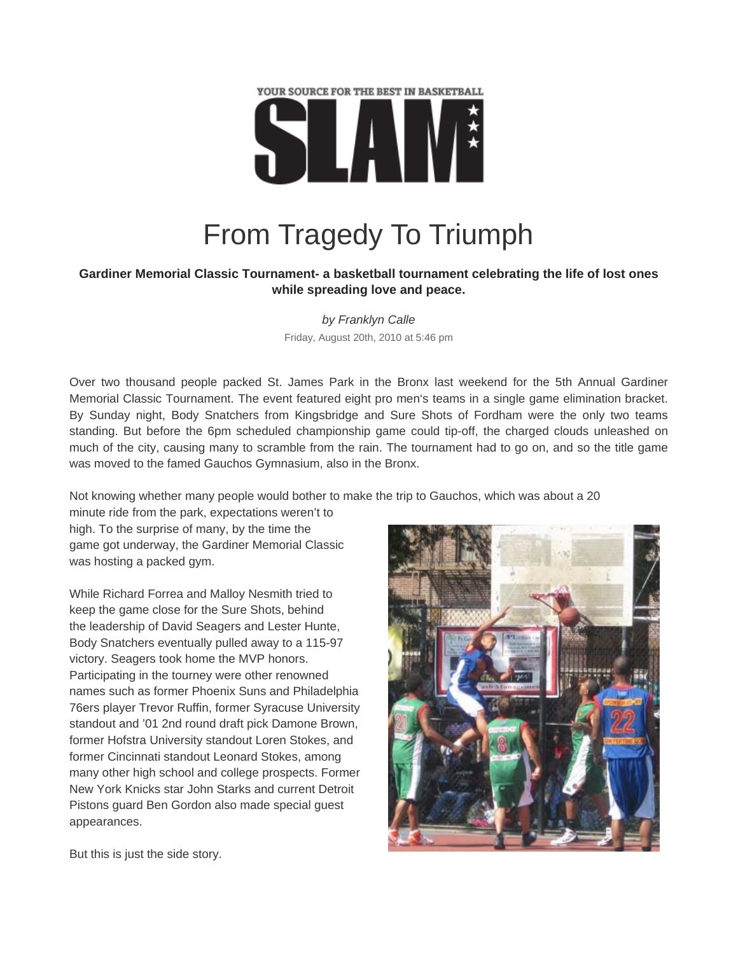

## From Tragedy To Triumph

## **Gardiner Memorial Classic Tournament- a basketball tournament celebrating the life of lost ones while spreading love and peace.**

*by Franklyn Calle*  Friday, August 20th, 2010 at 5:46 pm

Over two thousand people packed St. James Park in the Bronx last weekend for the 5th Annual Gardiner Memorial Classic Tournament. The event featured eight pro men's teams in a single game elimination bracket. By Sunday night, Body Snatchers from Kingsbridge and Sure Shots of Fordham were the only two teams standing. But before the 6pm scheduled championship game could tip-off, the charged clouds unleashed on much of the city, causing many to scramble from the rain. The tournament had to go on, and so the title game was moved to the famed Gauchos Gymnasium, also in the Bronx.

Not knowing whether many people would bother to make the trip to Gauchos, which was about a 20

minute ride from the park, expectations weren't to high. To the surprise of many, by the time the game got underway, the Gardiner Memorial Classic was hosting a packed gym.

While Richard Forrea and Malloy Nesmith tried to keep the game close for the Sure Shots, behind the leadership of David Seagers and Lester Hunte, Body Snatchers eventually pulled away to a 115-97 victory. Seagers took home the MVP honors. Participating in the tourney were other renowned names such as former Phoenix Suns and Philadelphia 76ers player Trevor Ruffin, former Syracuse University standout and '01 2nd round draft pick Damone Brown, former Hofstra University standout Loren Stokes, and former Cincinnati standout Leonard Stokes, among many other high school and college prospects. Former New York Knicks star John Starks and current Detroit Pistons guard Ben Gordon also made special guest appearances.



But this is just the side story.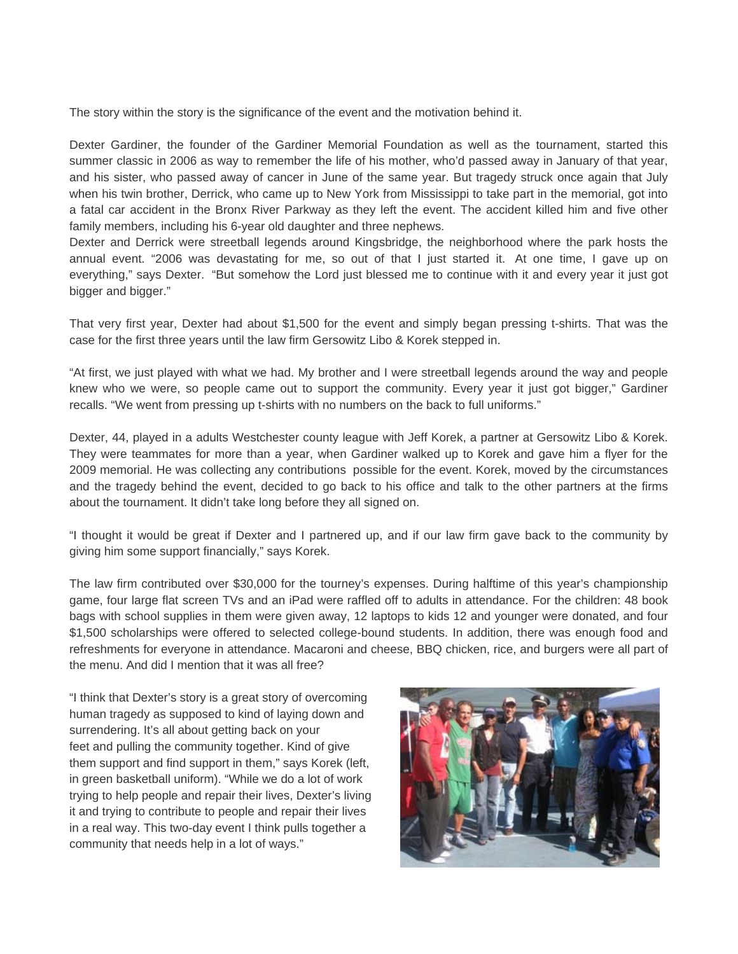The story within the story is the significance of the event and the motivation behind it.

Dexter Gardiner, the founder of the Gardiner Memorial Foundation as well as the tournament, started this summer classic in 2006 as way to remember the life of his mother, who'd passed away in January of that year, and his sister, who passed away of cancer in June of the same year. But tragedy struck once again that July when his twin brother, Derrick, who came up to New York from Mississippi to take part in the memorial, got into a fatal car accident in the Bronx River Parkway as they left the event. The accident killed him and five other family members, including his 6-year old daughter and three nephews.

Dexter and Derrick were streetball legends around Kingsbridge, the neighborhood where the park hosts the annual event. "2006 was devastating for me, so out of that I just started it. At one time, I gave up on everything," says Dexter. "But somehow the Lord just blessed me to continue with it and every year it just got bigger and bigger."

That very first year, Dexter had about \$1,500 for the event and simply began pressing t-shirts. That was the case for the first three years until the law firm Gersowitz Libo & Korek stepped in.

"At first, we just played with what we had. My brother and I were streetball legends around the way and people knew who we were, so people came out to support the community. Every year it just got bigger," Gardiner recalls. "We went from pressing up t-shirts with no numbers on the back to full uniforms."

Dexter, 44, played in a adults Westchester county league with Jeff Korek, a partner at Gersowitz Libo & Korek. They were teammates for more than a year, when Gardiner walked up to Korek and gave him a flyer for the 2009 memorial. He was collecting any contributions possible for the event. Korek, moved by the circumstances and the tragedy behind the event, decided to go back to his office and talk to the other partners at the firms about the tournament. It didn't take long before they all signed on.

"I thought it would be great if Dexter and I partnered up, and if our law firm gave back to the community by giving him some support financially," says Korek.

The law firm contributed over \$30,000 for the tourney's expenses. During halftime of this year's championship game, four large flat screen TVs and an iPad were raffled off to adults in attendance. For the children: 48 book bags with school supplies in them were given away, 12 laptops to kids 12 and younger were donated, and four \$1,500 scholarships were offered to selected college-bound students. In addition, there was enough food and refreshments for everyone in attendance. Macaroni and cheese, BBQ chicken, rice, and burgers were all part of the menu. And did I mention that it was all free?

"I think that Dexter's story is a great story of overcoming human tragedy as supposed to kind of laying down and surrendering. It's all about getting back on your feet and pulling the community together. Kind of give them support and find support in them," says Korek (left, in green basketball uniform). "While we do a lot of work trying to help people and repair their lives, Dexter's living it and trying to contribute to people and repair their lives in a real way. This two-day event I think pulls together a community that needs help in a lot of ways."